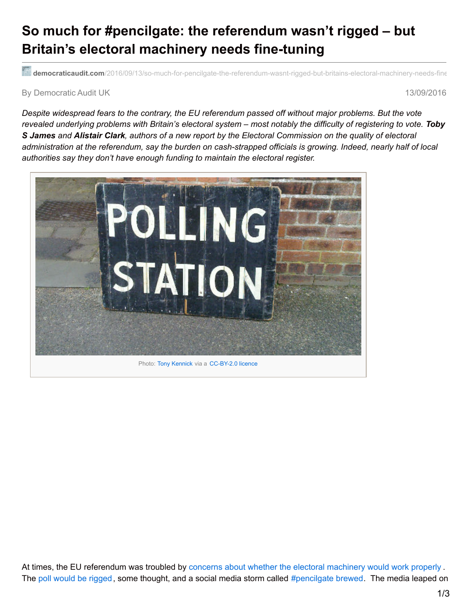## **So much for #pencilgate: the referendum wasn't rigged – but Britain's electoral machinery needs fine-tuning**

democraticaudit.com/2016/09/13/so-much-for-pencilgate-the-referendum-wasnt-rigged-but-britains-electoral-machinery-needs-fine

By Democratic Audit UK 13/09/2016

Despite widespread fears to the contrary, the EU referendum passed off without major problems. But the vote revealed underlying problems with Britain's electoral system - most notably the difficulty of registering to vote. Toby S James and Alistair Clark, authors of a new report by the Electoral Commission on the quality of electoral administration at the referendum, say the burden on cash-strapped officials is growing. Indeed, nearly half of local *authorities say they don't have enough funding to maintain the electoral register.*



At times, the EU referendum was troubled by concerns about whether the electoral [machinery](https://www.psa.ac.uk/insight-plus/blog/electoral-administration-and-eu-referendum) would work properly . The poll would be [rigged](http://www.politics.co.uk/news/2016/06/21/half-of-leave-voters-believe-eu-referendum-will-be-rigged), some thought, and a social media storm called [#pencilgate](http://www.manchestereveningnews.co.uk/news/greater-manchester-news/pencil-referendum-vote-rigging-claim-11514432) brewed. The media leaped on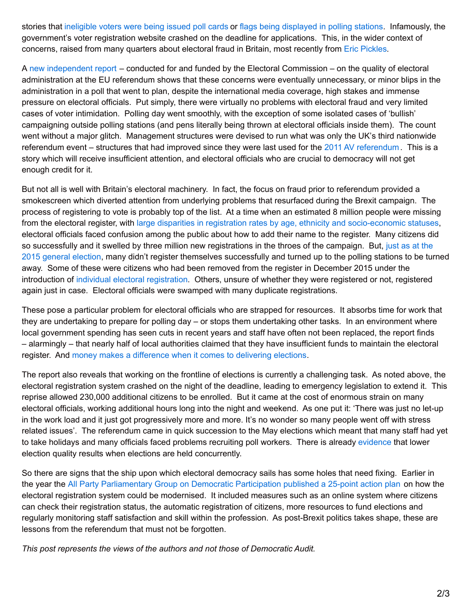stories that [ineligible](http://www.bbc.co.uk/news/uk-politics-eu-referendum-36446521) voters were being issued poll cards or flags being [displayed](http://www.dailymail.co.uk/news/article-3656593/It-looks-like-EDL-rally-Polling-station-told-England-flags-angry-voters-complain-bias-favour-Brexit.html) in polling stations. Infamously, the government's voter registration website crashed on the deadline for applications. This, in the wider context of concerns, raised from many quarters about electoral fraud in Britain, most recently from Eric [Pickles](https://www.gov.uk/government/news/sir-eric-pickles-publishes-report-into-tackling-electoral-fraud).

A new [independent](http://www.electoralcommission.org.uk/__data/assets/pdf_file/0008/214991/A-Clark-and-T-S-James,-Electoral-Administration-at-the-EU-Referendum-September-2016.pdf) report – conducted for and funded by the Electoral Commission – on the quality of electoral administration at the EU referendum shows that these concerns were eventually unnecessary, or minor blips in the administration in a poll that went to plan, despite the international media coverage, high stakes and immense pressure on electoral officials. Put simply, there were virtually no problems with electoral fraud and very limited cases of voter intimidation. Polling day went smoothly, with the exception of some isolated cases of 'bullish' campaigning outside polling stations (and pens literally being thrown at electoral officials inside them). The count went without a major glitch. Management structures were devised to run what was only the UK's third nationwide [referendum](http://www.tandfonline.com/doi/abs/10.1080/01442872.2016.1213802?journalCode=cpos20) event – structures that had improved since they were last used for the 2011 AV referendum. This is a story which will receive insufficient attention, and electoral officials who are crucial to democracy will not get enough credit for it.

But not all is well with Britain's electoral machinery. In fact, the focus on fraud prior to referendum provided a smokescreen which diverted attention from underlying problems that resurfaced during the Brexit campaign. The process of registering to vote is probably top of the list. At a time when an estimated 8 million people were missing from the electoral register, with large disparities in registration rates by age, ethnicity and [socio-economic](http://www.fabians.org.uk/missing-millions/) statuses, electoral officials faced confusion among the public about how to add their name to the register. Many citizens did so successfully and it swelled by three million new [registrations](https://tobysjamesdotcom.files.wordpress.com/2013/11/clark-james-poll-workers-eipapsa-final.pdf) in the throes of the campaign. But, just as at the 2015 general election, many didn't register themselves successfully and turned up to the polling stations to be turned away. Some of these were citizens who had been removed from the register in December 2015 under the introduction of individual electoral [registration](http://pa.oxfordjournals.org/content/67/2/281). Others, unsure of whether they were registered or not, registered again just in case. Electoral officials were swamped with many duplicate registrations.

These pose a particular problem for electoral officials who are strapped for resources. It absorbs time for work that they are undertaking to prepare for polling day – or stops them undertaking other tasks. In an environment where local government spending has seen cuts in recent years and staff have often not been replaced, the report finds – alarmingly – that nearly half of local authorities claimed that they have insufficient funds to maintain the electoral register. And money makes a [difference](https://www.cambridge.org/core/journals/european-political-science-review/article/identifying-the-determinants-of-electoral-integrity-and-administration-in-advanced-democracies-the-case-of-britain/4B51C001A3133DD2E7C81DF9DAE4E914) when it comes to delivering elections.

The report also reveals that working on the frontline of elections is currently a challenging task. As noted above, the electoral registration system crashed on the night of the deadline, leading to emergency legislation to extend it. This reprise allowed 230,000 additional citizens to be enrolled. But it came at the cost of enormous strain on many electoral officials, working additional hours long into the night and weekend. As one put it: 'There was just no let-up in the work load and it just got progressively more and more. It's no wonder so many people went off with stress related issues'. The referendum came in quick succession to the May elections which meant that many staff had yet to take holidays and many officials faced problems recruiting poll workers. There is already [evidence](https://www.cambridge.org/core/journals/european-political-science-review/article/identifying-the-determinants-of-electoral-integrity-and-administration-in-advanced-democracies-the-case-of-britain/4B51C001A3133DD2E7C81DF9DAE4E914) that lower election quality results when elections are held concurrently.

So there are signs that the ship upon which electoral democracy sails has some holes that need fixing. Earlier in the year the All Party [Parliamentary](https://tobysjamesdotcom.files.wordpress.com/2013/11/getting-the-e28098missing-millions_-on-to-the-electoral-register-report-appg-on-democratic-participation-bite-the-ballot-dr-toby-james-clearview-research-2016-1.pdf) Group on Democratic Participation published a 25-point action plan on how the electoral registration system could be modernised. It included measures such as an online system where citizens can check their registration status, the automatic registration of citizens, more resources to fund elections and regularly monitoring staff satisfaction and skill within the profession. As post-Brexit politics takes shape, these are lessons from the referendum that must not be forgotten.

*This post represents the views of the authors and not those of Democratic Audit.*